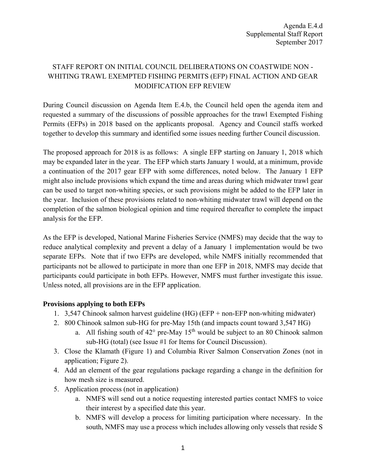## STAFF REPORT ON INITIAL COUNCIL DELIBERATIONS ON COASTWIDE NON - WHITING TRAWL EXEMPTED FISHING PERMITS (EFP) FINAL ACTION AND GEAR MODIFICATION EFP REVIEW

During Council discussion on Agenda Item E.4.b, the Council held open the agenda item and requested a summary of the discussions of possible approaches for the trawl Exempted Fishing Permits (EFPs) in 2018 based on the applicants proposal. Agency and Council staffs worked together to develop this summary and identified some issues needing further Council discussion.

The proposed approach for 2018 is as follows: A single EFP starting on January 1, 2018 which may be expanded later in the year. The EFP which starts January 1 would, at a minimum, provide a continuation of the 2017 gear EFP with some differences, noted below. The January 1 EFP might also include provisions which expand the time and areas during which midwater trawl gear can be used to target non-whiting species, or such provisions might be added to the EFP later in the year. Inclusion of these provisions related to non-whiting midwater trawl will depend on the completion of the salmon biological opinion and time required thereafter to complete the impact analysis for the EFP.

As the EFP is developed, National Marine Fisheries Service (NMFS) may decide that the way to reduce analytical complexity and prevent a delay of a January 1 implementation would be two separate EFPs. Note that if two EFPs are developed, while NMFS initially recommended that participants not be allowed to participate in more than one EFP in 2018, NMFS may decide that participants could participate in both EFPs. However, NMFS must further investigate this issue. Unless noted, all provisions are in the EFP application.

### **Provisions applying to both EFPs**

- 1. 3,547 Chinook salmon harvest guideline (HG) (EFP + non-EFP non-whiting midwater)
- 2. 800 Chinook salmon sub-HG for pre-May 15th (and impacts count toward 3,547 HG)
	- a. All fishing south of  $42^{\circ}$  pre-May  $15^{\text{th}}$  would be subject to an 80 Chinook salmon sub-HG (total) (see Issue #1 for Items for Council Discussion).
- 3. Close the Klamath (Figure 1) and Columbia River Salmon Conservation Zones (not in application; Figure 2).
- 4. Add an element of the gear regulations package regarding a change in the definition for how mesh size is measured.
- 5. Application process (not in application)
	- a. NMFS will send out a notice requesting interested parties contact NMFS to voice their interest by a specified date this year.
	- b. NMFS will develop a process for limiting participation where necessary. In the south, NMFS may use a process which includes allowing only vessels that reside S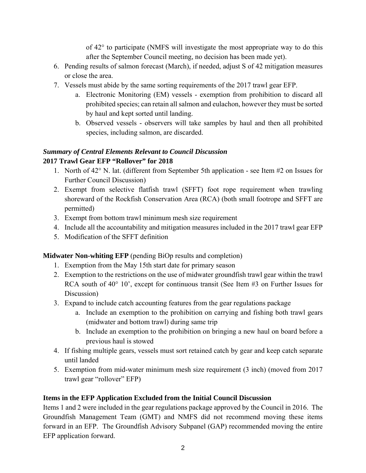of 42° to participate (NMFS will investigate the most appropriate way to do this after the September Council meeting, no decision has been made yet).

- 6. Pending results of salmon forecast (March), if needed, adjust S of 42 mitigation measures or close the area.
- 7. Vessels must abide by the same sorting requirements of the 2017 trawl gear EFP.
	- a. Electronic Monitoring (EM) vessels exemption from prohibition to discard all prohibited species; can retain all salmon and eulachon, however they must be sorted by haul and kept sorted until landing.
	- b. Observed vessels observers will take samples by haul and then all prohibited species, including salmon, are discarded.

# *Summary of Central Elements Relevant to Council Discussion*

## **2017 Trawl Gear EFP "Rollover" for 2018**

- 1. North of 42° N. lat. (different from September 5th application see Item #2 on Issues for Further Council Discussion)
- 2. Exempt from selective flatfish trawl (SFFT) foot rope requirement when trawling shoreward of the Rockfish Conservation Area (RCA) (both small footrope and SFFT are permitted)
- 3. Exempt from bottom trawl minimum mesh size requirement
- 4. Include all the accountability and mitigation measures included in the 2017 trawl gear EFP
- 5. Modification of the SFFT definition

# **Midwater Non-whiting EFP** (pending BiOp results and completion)

- 1. Exemption from the May 15th start date for primary season
- 2. Exemption to the restrictions on the use of midwater groundfish trawl gear within the trawl RCA south of 40° 10', except for continuous transit (See Item #3 on Further Issues for Discussion)
- 3. Expand to include catch accounting features from the gear regulations package
	- a. Include an exemption to the prohibition on carrying and fishing both trawl gears (midwater and bottom trawl) during same trip
	- b. Include an exemption to the prohibition on bringing a new haul on board before a previous haul is stowed
- 4. If fishing multiple gears, vessels must sort retained catch by gear and keep catch separate until landed
- 5. Exemption from mid-water minimum mesh size requirement (3 inch) (moved from 2017 trawl gear "rollover" EFP)

# **Items in the EFP Application Excluded from the Initial Council Discussion**

Items 1 and 2 were included in the gear regulations package approved by the Council in 2016. The Groundfish Management Team (GMT) and NMFS did not recommend moving these items forward in an EFP. The Groundfish Advisory Subpanel (GAP) recommended moving the entire EFP application forward.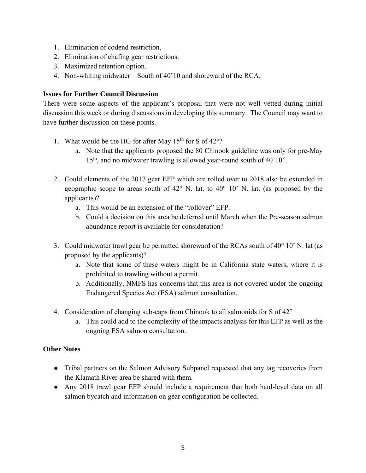- 1. Elimination of codend restriction,
- 2. Elimination of chafing gear restrictions.
- 3. Maximized retention option.
- 4. Non-whiting midwater South of 40'10 and shoreward of the RCA.

#### **Issues for Further Council Discussion**

There were some aspects of the applicant's proposal that were not well vetted during initial discussion this week or during discussions in developing this summary. The Council may want to have further discussion on these points.

- 1. What would be the HG for after May  $15<sup>th</sup>$  for S of  $42°$ ?
	- a. Note that the applicants proposed the 80 Chinook guideline was only for pre-May 15<sup>th</sup>, and no midwater trawling is allowed year-round south of 40'10".
- 2. Could elements of the 2017 gear EFP which are rolled over to 2018 also be extended in geographic scope to areas south of 42° N. lat. to 40° 10' N. lat. (as proposed by the applicants)?
	- a. This would be an extension of the "rollover" EFP.
	- b. Could a decision on this area be deferred until March when the Pre-season salmon abundance report is available for consideration?
- 3. Could midwater trawl gear be permitted shoreward of the RCAs south of 40° 10' N. lat (as proposed by the applicants)?
	- a. Note that some of these waters might be in California state waters, where it is prohibited to trawling without a permit.
	- b. Additionally, NMFS has concerns that this area is not covered under the ongoing Endangered Species Act (ESA) salmon consultation.
- 4. Consideration of changing sub-caps from Chinook to all salmonids for S of 42°
	- a. This could add to the complexity of the impacts analysis for this EFP as well as the ongoing ESA salmon consultation.

#### **Other Notes**

- Tribal partners on the Salmon Advisory Subpanel requested that any tag recoveries from the Klamath River area be shared with them.
- Any 2018 trawl gear EFP should include a requirement that both haul-level data on all salmon bycatch and information on gear configuration be collected.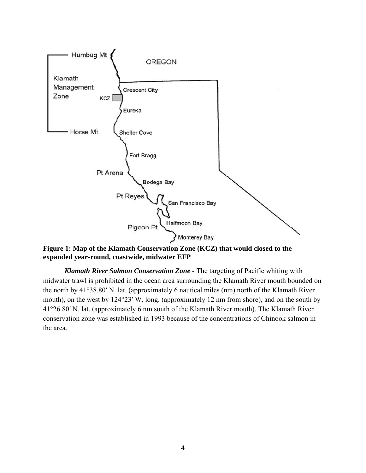

**Figure 1: Map of the Klamath Conservation Zone (KCZ) that would closed to the expanded year-round, coastwide, midwater EFP** 

*Klamath River Salmon Conservation Zone -* The targeting of Pacific whiting with midwater trawl is prohibited in the ocean area surrounding the Klamath River mouth bounded on the north by 41°38.80′ N. lat. (approximately 6 nautical miles (nm) north of the Klamath River mouth), on the west by 124°23′ W. long. (approximately 12 nm from shore), and on the south by 41°26.80′ N. lat. (approximately 6 nm south of the Klamath River mouth). The Klamath River conservation zone was established in 1993 because of the concentrations of Chinook salmon in the area.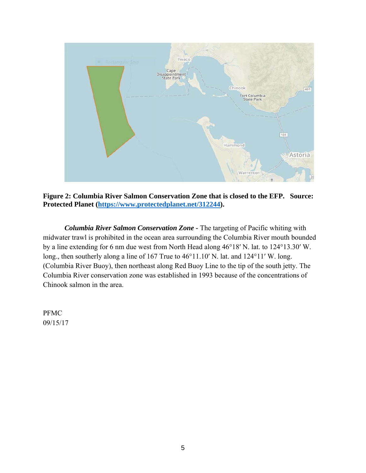

**Figure 2: Columbia River Salmon Conservation Zone that is closed to the EFP. Source: Protected Planet (https://www.protectedplanet.net/312244).** 

*Columbia River Salmon Conservation Zone -* The targeting of Pacific whiting with midwater trawl is prohibited in the ocean area surrounding the Columbia River mouth bounded by a line extending for 6 nm due west from North Head along 46°18′ N. lat. to 124°13.30′ W. long., then southerly along a line of 167 True to 46°11.10′ N. lat. and 124°11′ W. long. (Columbia River Buoy), then northeast along Red Buoy Line to the tip of the south jetty. The Columbia River conservation zone was established in 1993 because of the concentrations of Chinook salmon in the area.

PFMC 09/15/17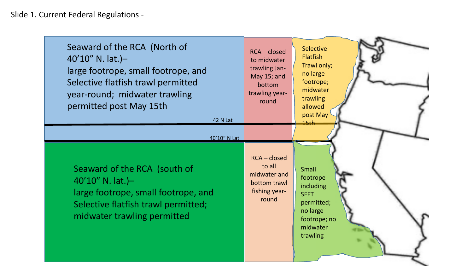| Seaward of the RCA (North of<br>$40'10''$ N. lat.)-<br>large footrope, small footrope, and<br>Selective flatfish trawl permitted<br>year-round; midwater trawling<br>permitted post May 15th<br><b>42 N Lat</b> | $RCA - closed$<br>to midwater<br>trawling Jan-<br>May 15; and<br>bottom<br>trawling year-<br>round | <b>Selective</b><br><b>Flatfish</b><br>Trawl only;<br>no large<br>footrope;<br>midwater<br>trawling<br>allowed<br>post May<br>45th |
|-----------------------------------------------------------------------------------------------------------------------------------------------------------------------------------------------------------------|----------------------------------------------------------------------------------------------------|------------------------------------------------------------------------------------------------------------------------------------|
| 40'10" N Lat<br>Seaward of the RCA (south of<br>$40'10''$ N. lat.)-<br>large footrope, small footrope, and<br>Selective flatfish trawl permitted;<br>midwater trawling permitted                                | RCA - closed<br>to all<br>midwater and<br>bottom trawl<br>fishing year-<br>round                   | <b>Small</b><br>footrope<br>including<br><b>SFFT</b><br>permitted;<br>no large<br>footrope; no<br>midwater<br>trawling             |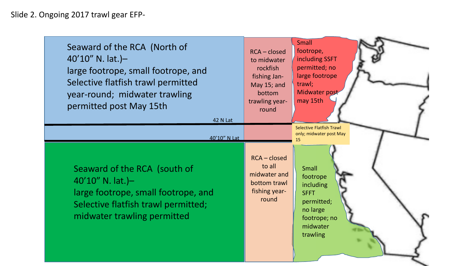| Seaward of the RCA (North of<br>$40'10''$ N. lat.)-<br>large footrope, small footrope, and<br>Selective flatfish trawl permitted<br>year-round; midwater trawling<br>permitted post May 15th<br>42 N Lat | $RCA - closed$<br>to midwater<br>rockfish<br>fishing Jan-<br>May 15; and<br>bottom<br>trawling year-<br>round | <b>Small</b><br>footrope,<br>including SSFT<br>permitted; no<br>large footrope<br>trawl;<br>Midwater post<br>may 15th                                                                      |
|----------------------------------------------------------------------------------------------------------------------------------------------------------------------------------------------------------|---------------------------------------------------------------------------------------------------------------|--------------------------------------------------------------------------------------------------------------------------------------------------------------------------------------------|
| 40'10" N Lat<br>Seaward of the RCA (south of<br>$40'10''$ N. lat.)-<br>large footrope, small footrope, and<br>Selective flatfish trawl permitted;<br>midwater trawling permitted                         | <b>RCA-closed</b><br>to all<br>midwater and<br>bottom trawl<br>fishing year-<br>round                         | <b>Selective Flatfish Trawl</b><br>only; midwater post May<br>15<br><b>Small</b><br>footrope<br>including<br><b>SFFT</b><br>permitted;<br>no large<br>footrope; no<br>midwater<br>trawling |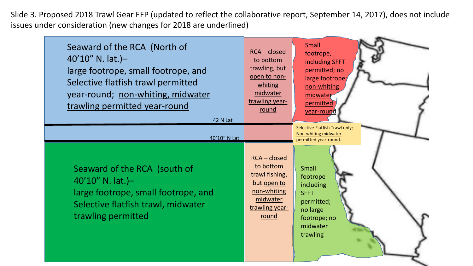Slide 3. Proposed 2018 Trawl Gear EFP (updated to reflect the collaborative report, September 14, 2017), does not include issues under consideration (new changes for 2018 are underlined)